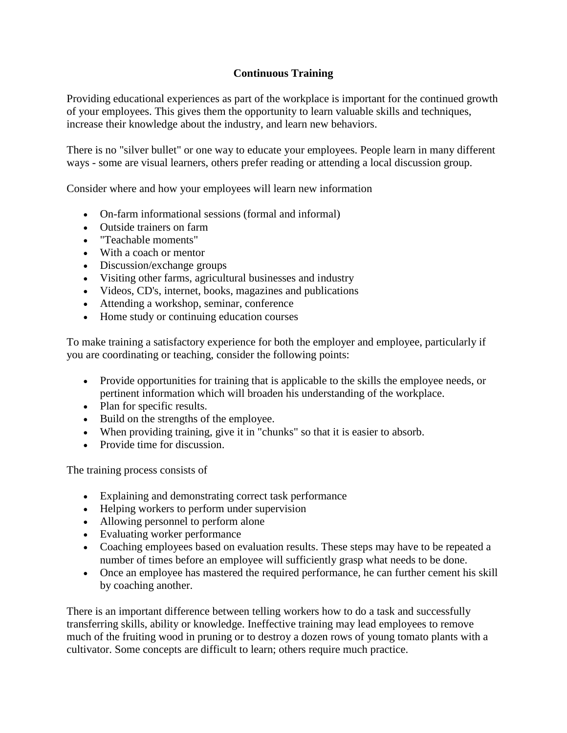## **Continuous Training**

Providing educational experiences as part of the workplace is important for the continued growth of your employees. This gives them the opportunity to learn valuable skills and techniques, increase their knowledge about the industry, and learn new behaviors.

There is no "silver bullet" or one way to educate your employees. People learn in many different ways - some are visual learners, others prefer reading or attending a local discussion group.

Consider where and how your employees will learn new information

- On-farm informational sessions (formal and informal)
- Outside trainers on farm
- "Teachable moments"
- With a coach or mentor
- Discussion/exchange groups
- Visiting other farms, agricultural businesses and industry
- Videos, CD's, internet, books, magazines and publications
- Attending a workshop, seminar, conference
- Home study or continuing education courses

To make training a satisfactory experience for both the employer and employee, particularly if you are coordinating or teaching, consider the following points:

- Provide opportunities for training that is applicable to the skills the employee needs, or pertinent information which will broaden his understanding of the workplace.
- Plan for specific results.
- Build on the strengths of the employee.
- When providing training, give it in "chunks" so that it is easier to absorb.
- Provide time for discussion.

The training process consists of

- Explaining and demonstrating correct task performance
- Helping workers to perform under supervision
- Allowing personnel to perform alone
- Evaluating worker performance
- Coaching employees based on evaluation results. These steps may have to be repeated a number of times before an employee will sufficiently grasp what needs to be done.
- Once an employee has mastered the required performance, he can further cement his skill by coaching another.

There is an important difference between telling workers how to do a task and successfully transferring skills, ability or knowledge. Ineffective training may lead employees to remove much of the fruiting wood in pruning or to destroy a dozen rows of young tomato plants with a cultivator. Some concepts are difficult to learn; others require much practice.